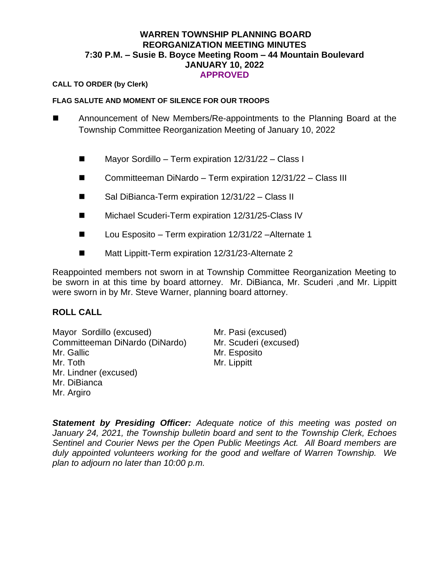### **WARREN TOWNSHIP PLANNING BOARD REORGANIZATION MEETING MINUTES 7:30 P.M. – Susie B. Boyce Meeting Room – 44 Mountain Boulevard JANUARY 10, 2022 APPROVED**

#### **CALL TO ORDER (by Clerk)**

#### **FLAG SALUTE AND MOMENT OF SILENCE FOR OUR TROOPS**

- ◼ Announcement of New Members/Re-appointments to the Planning Board at the Township Committee Reorganization Meeting of January 10, 2022
	- Mayor Sordillo Term expiration 12/31/22 Class I
	- Committeeman DiNardo Term expiration 12/31/22 Class III
	- Sal DiBianca-Term expiration 12/31/22 Class II
	- Michael Scuderi-Term expiration 12/31/25-Class IV
	- Lou Esposito Term expiration 12/31/22 Alternate 1
	- Matt Lippitt-Term expiration 12/31/23-Alternate 2

Reappointed members not sworn in at Township Committee Reorganization Meeting to be sworn in at this time by board attorney. Mr. DiBianca, Mr. Scuderi ,and Mr. Lippitt were sworn in by Mr. Steve Warner, planning board attorney.

# **ROLL CALL**

Mayor Sordillo (excused) Mr. Pasi (excused) Committeeman DiNardo (DiNardo) Mr. Scuderi (excused) Mr. Gallic Mr. Toth Mr. Lindner (excused) Mr. DiBianca Mr. Argiro

Mr. Esposito Mr. Lippitt

*Statement by Presiding Officer: Adequate notice of this meeting was posted on January 24, 2021, the Township bulletin board and sent to the Township Clerk, Echoes Sentinel and Courier News per the Open Public Meetings Act. All Board members are duly appointed volunteers working for the good and welfare of Warren Township. We plan to adjourn no later than 10:00 p.m.*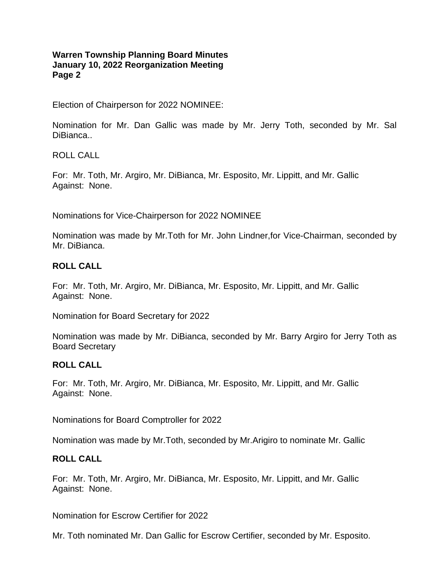Election of Chairperson for 2022 NOMINEE:

Nomination for Mr. Dan Gallic was made by Mr. Jerry Toth, seconded by Mr. Sal DiBianca..

ROLL CALL

For: Mr. Toth, Mr. Argiro, Mr. DiBianca, Mr. Esposito, Mr. Lippitt, and Mr. Gallic Against: None.

Nominations for Vice-Chairperson for 2022 NOMINEE

Nomination was made by Mr.Toth for Mr. John Lindner,for Vice-Chairman, seconded by Mr. DiBianca.

#### **ROLL CALL**

For: Mr. Toth, Mr. Argiro, Mr. DiBianca, Mr. Esposito, Mr. Lippitt, and Mr. Gallic Against: None.

Nomination for Board Secretary for 2022

Nomination was made by Mr. DiBianca, seconded by Mr. Barry Argiro for Jerry Toth as Board Secretary

# **ROLL CALL**

For: Mr. Toth, Mr. Argiro, Mr. DiBianca, Mr. Esposito, Mr. Lippitt, and Mr. Gallic Against: None.

Nominations for Board Comptroller for 2022

Nomination was made by Mr.Toth, seconded by Mr.Arigiro to nominate Mr. Gallic

#### **ROLL CALL**

For: Mr. Toth, Mr. Argiro, Mr. DiBianca, Mr. Esposito, Mr. Lippitt, and Mr. Gallic Against: None.

Nomination for Escrow Certifier for 2022

Mr. Toth nominated Mr. Dan Gallic for Escrow Certifier, seconded by Mr. Esposito.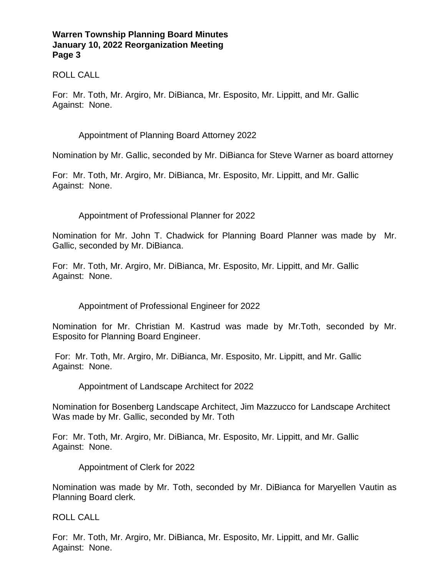# ROLL CALL

For: Mr. Toth, Mr. Argiro, Mr. DiBianca, Mr. Esposito, Mr. Lippitt, and Mr. Gallic Against: None.

# Appointment of Planning Board Attorney 2022

Nomination by Mr. Gallic, seconded by Mr. DiBianca for Steve Warner as board attorney

For: Mr. Toth, Mr. Argiro, Mr. DiBianca, Mr. Esposito, Mr. Lippitt, and Mr. Gallic Against: None.

# Appointment of Professional Planner for 2022

Nomination for Mr. John T. Chadwick for Planning Board Planner was made by Mr. Gallic, seconded by Mr. DiBianca.

For: Mr. Toth, Mr. Argiro, Mr. DiBianca, Mr. Esposito, Mr. Lippitt, and Mr. Gallic Against: None.

Appointment of Professional Engineer for 2022

Nomination for Mr. Christian M. Kastrud was made by Mr.Toth, seconded by Mr. Esposito for Planning Board Engineer.

For: Mr. Toth, Mr. Argiro, Mr. DiBianca, Mr. Esposito, Mr. Lippitt, and Mr. Gallic Against: None.

Appointment of Landscape Architect for 2022

Nomination for Bosenberg Landscape Architect, Jim Mazzucco for Landscape Architect Was made by Mr. Gallic, seconded by Mr. Toth

For: Mr. Toth, Mr. Argiro, Mr. DiBianca, Mr. Esposito, Mr. Lippitt, and Mr. Gallic Against: None.

Appointment of Clerk for 2022

Nomination was made by Mr. Toth, seconded by Mr. DiBianca for Maryellen Vautin as Planning Board clerk.

ROLL CALL

For: Mr. Toth, Mr. Argiro, Mr. DiBianca, Mr. Esposito, Mr. Lippitt, and Mr. Gallic Against: None.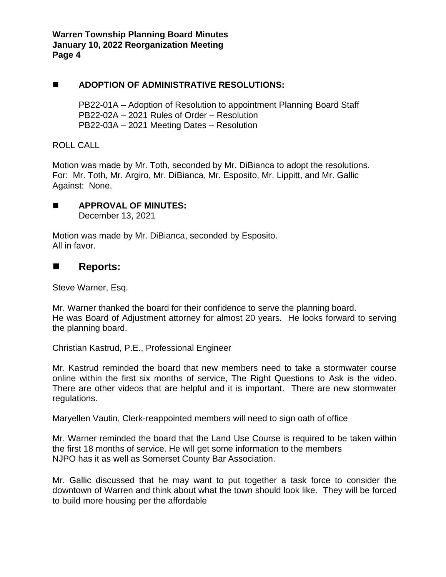# ◼ **ADOPTION OF ADMINISTRATIVE RESOLUTIONS:**

PB22-01A – Adoption of Resolution to appointment Planning Board Staff PB22-02A – 2021 Rules of Order – Resolution PB22-03A – 2021 Meeting Dates – Resolution

ROLL CALL

Motion was made by Mr. Toth, seconded by Mr. DiBianca to adopt the resolutions. For: Mr. Toth, Mr. Argiro, Mr. DiBianca, Mr. Esposito, Mr. Lippitt, and Mr. Gallic Against: None.

◼ **APPROVAL OF MINUTES:**  December 13, 2021

Motion was made by Mr. DiBianca, seconded by Esposito. All in favor.

# ◼ **Reports:**

Steve Warner, Esq.

Mr. Warner thanked the board for their confidence to serve the planning board. He was Board of Adjustment attorney for almost 20 years. He looks forward to serving the planning board.

Christian Kastrud, P.E., Professional Engineer

Mr. Kastrud reminded the board that new members need to take a stormwater course online within the first six months of service, The Right Questions to Ask is the video. There are other videos that are helpful and it is important. There are new stormwater regulations.

Maryellen Vautin, Clerk-reappointed members will need to sign oath of office

Mr. Warner reminded the board that the Land Use Course is required to be taken within the first 18 months of service. He will get some information to the members NJPO has it as well as Somerset County Bar Association.

Mr. Gallic discussed that he may want to put together a task force to consider the downtown of Warren and think about what the town should look like. They will be forced to build more housing per the affordable